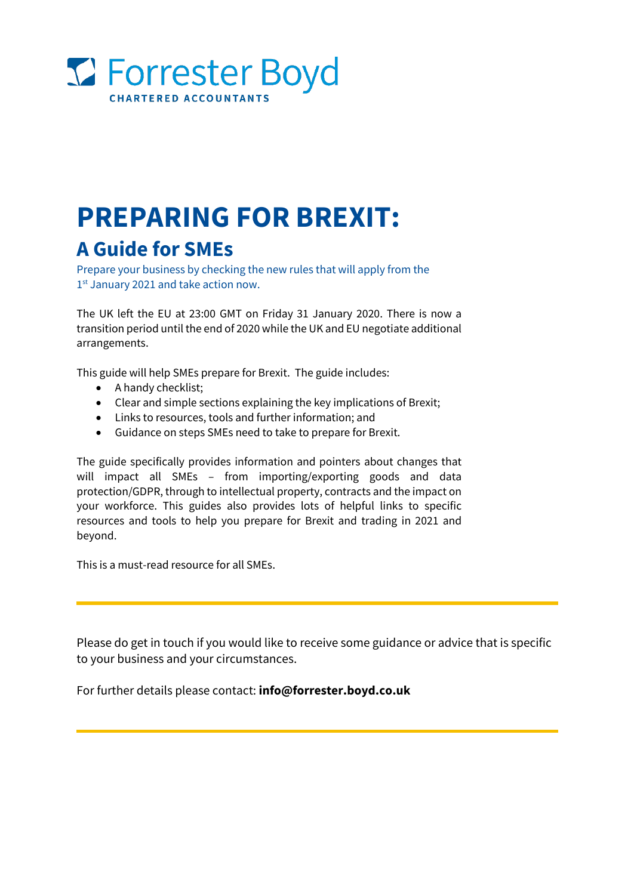

# **PREPARING FOR BREXIT: A Guide for SMEs**

Prepare your business by checking the new rules that will apply from the 1<sup>st</sup> January 2021 and take action now.

The UK left the EU at 23:00 GMT on Friday 31 January 2020. There is now a transition period until the end of 2020 while the UK and EU negotiate additional arrangements.

This guide will help SMEs prepare for Brexit. The guide includes:

- A handy checklist;
- Clear and simple sections explaining the key implications of Brexit;
- Links to resources, tools and further information; and
- Guidance on steps SMEs need to take to prepare for Brexit.

The guide specifically provides information and pointers about changes that will impact all SMEs – from importing/exporting goods and data protection/GDPR, through to intellectual property, contracts and the impact on your workforce. This guides also provides lots of helpful links to specific resources and tools to help you prepare for Brexit and trading in 2021 and beyond.

This is a must-read resource for all SMEs.

Please do get in touch if you would like to receive some guidance or advice that is specific to your business and your circumstances.

For further details please contact: **[info@forrester.boyd.co.uk](mailto:info@forrester.boyd.co.uk)**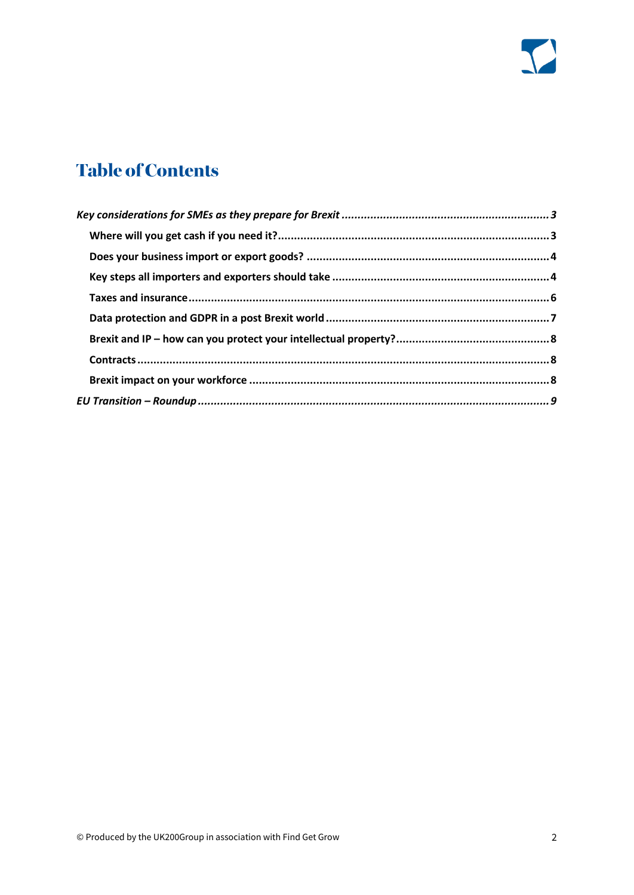

# **Table of Contents**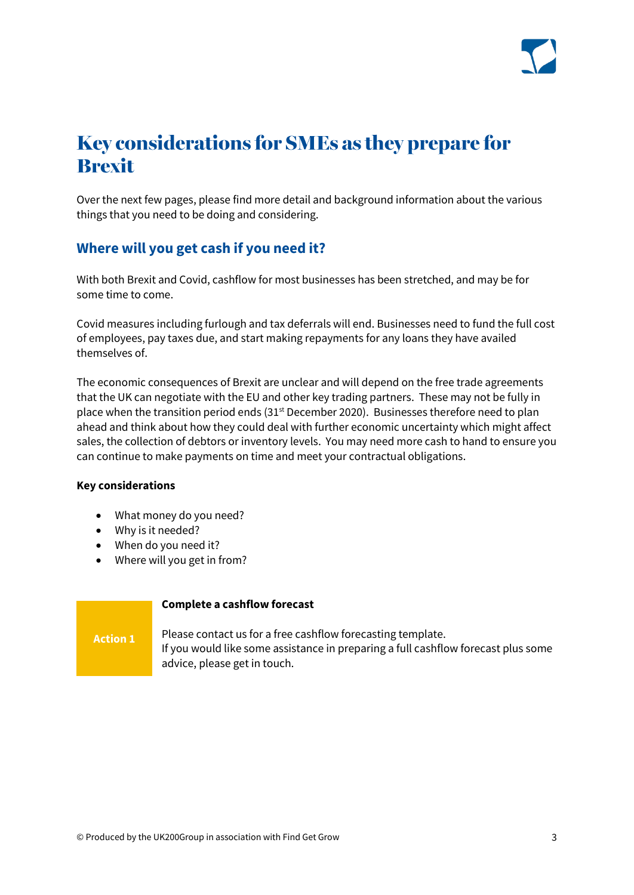

# <span id="page-2-0"></span>Key considerations for SMEs as they prepare for **Rrevit**

Over the next few pages, please find more detail and background information about the various things that you need to be doing and considering.

### <span id="page-2-1"></span>**Where will you get cash if you need it?**

With both Brexit and Covid, cashflow for most businesses has been stretched, and may be for some time to come.

Covid measures including furlough and tax deferrals will end. Businesses need to fund the full cost of employees, pay taxes due, and start making repayments for any loans they have availed themselves of.

The economic consequences of Brexit are unclear and will depend on the free trade agreements that the UK can negotiate with the EU and other key trading partners. These may not be fully in place when the transition period ends (31<sup>st</sup> December 2020). Businesses therefore need to plan ahead and think about how they could deal with further economic uncertainty which might affect sales, the collection of debtors or inventory levels. You may need more cash to hand to ensure you can continue to make payments on time and meet your contractual obligations.

#### **Key considerations**

**Action 1**

- What money do you need?
- Why is it needed?
- When do you need it?
- Where will you get in from?

#### **Complete a cashflow forecast**

Please contact us for a free cashflow forecasting template. If you would like some assistance in preparing a full cashflow forecast plus some advice, please get in touch.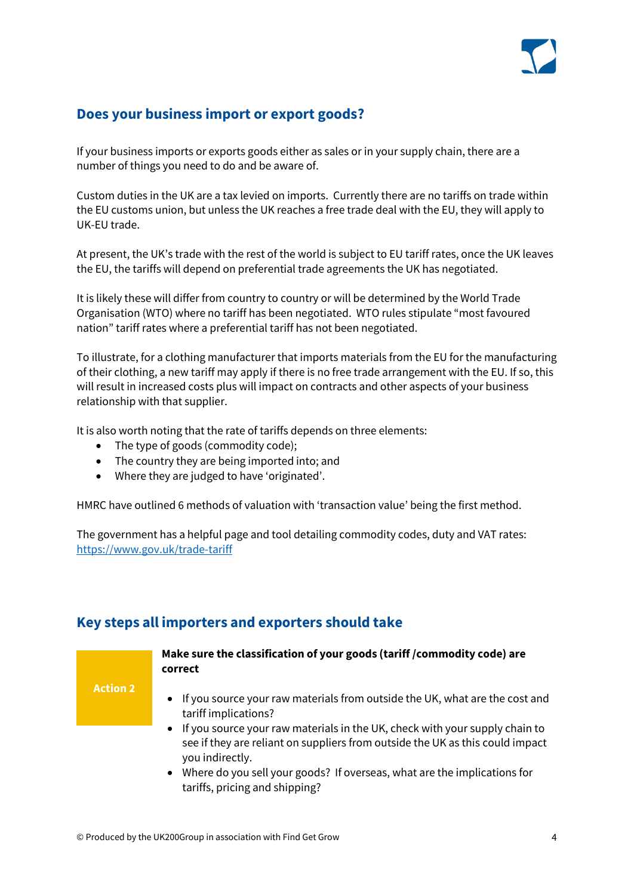

# <span id="page-3-0"></span>**Does your business import or export goods?**

If your business imports or exports goods either as sales or in your supply chain, there are a number of things you need to do and be aware of.

Custom duties in the UK are a tax levied on imports. Currently there are no tariffs on trade within the EU customs union, but unless the UK reaches a free trade deal with the EU, they will apply to UK-EU trade.

At present, the UK's trade with the rest of the world is subject to EU tariff rates, once the UK leaves the EU, the tariffs will depend on preferential trade agreements the UK has negotiated.

It is likely these will differ from country to country or will be determined by the World Trade Organisation (WTO) where no tariff has been negotiated. WTO rules stipulate "most favoured nation" tariff rates where a preferential tariff has not been negotiated.

To illustrate, for a clothing manufacturer that imports materials from the EU for the manufacturing of their clothing, a new tariff may apply if there is no free trade arrangement with the EU. If so, this will result in increased costs plus will impact on contracts and other aspects of your business relationship with that supplier.

It is also worth noting that the rate of tariffs depends on three elements:

- The type of goods (commodity code);
- The country they are being imported into; and
- Where they are judged to have 'originated'.

HMRC have outlined 6 methods of valuation with 'transaction value' being the first method.

The government has a helpful page and tool detailing commodity codes, duty and VAT rates: <https://www.gov.uk/trade-tariff>

# <span id="page-3-1"></span>**Key steps all importers and exporters should take**

**Action 2**

### **Make sure the classification of your goods (tariff /commodity code) are correct**

- If you source your raw materials from outside the UK, what are the cost and tariff implications?
- If you source your raw materials in the UK, check with your supply chain to see if they are reliant on suppliers from outside the UK as this could impact you indirectly.
- Where do you sell your goods? If overseas, what are the implications for tariffs, pricing and shipping?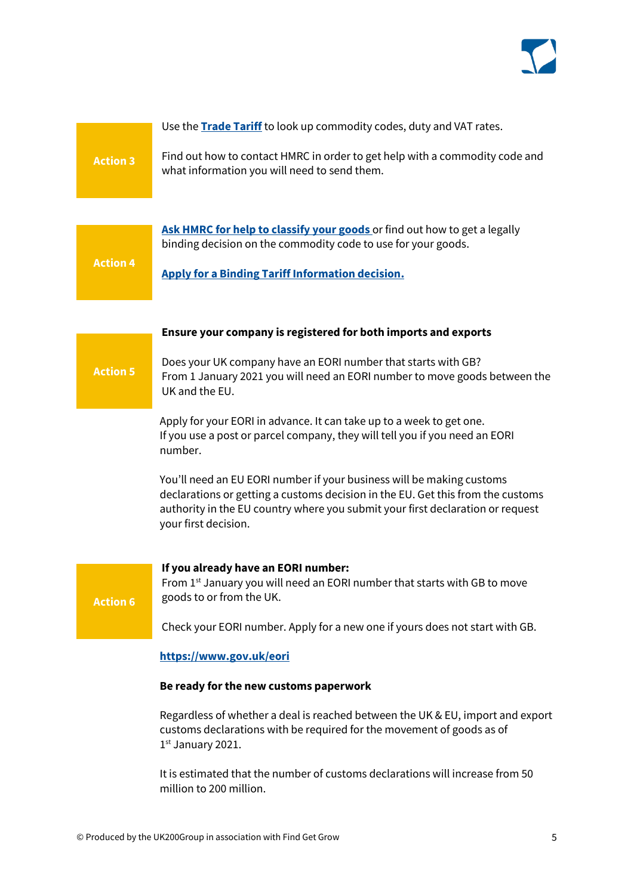

# Use the **[Trade Tariff](https://www.gov.uk/trade-tariff)** to look up commodity codes, duty and VAT rates. Find out how to contact HMRC in order to get help with a commodity code and what information you will need to send them. **Action 3**

**[Ask HMRC for help to classify your goods](https://www.gov.uk/guidance/ask-hmrc-for-advice-on-classifying-your-goods)** or find out how to get a legally binding decision on the commodity code to use for your goods. **Action 4**

**[Apply for a Binding Tariff Information decision.](https://www.gov.uk/guidance/apply-for-a-binding-tariff-information-decision-notice-600#:~:text=A%20Binding%20Tariff%20Information%20(%20BTI,UK%20and%20EU%20customs%20administrations)**

#### **Ensure your company is registered for both imports and exports**

### Does your UK company have an EORI number that starts with GB? From 1 January 2021 you will need an EORI number to move goods between the UK and the EU.

Apply for your EORI in advance. It can take up to a week to get one. If you use a post or parcel company, they will tell you if you need an EORI number.

You'll need an EU EORI number if your business will be making customs declarations or getting a customs decision in the EU. Get this from the customs authority in the EU country where you submit your first declaration or request your first decision.

**Action 6**

**Action 5**

#### **If you already have an EORI number:**

From 1<sup>st</sup> January you will need an EORI number that starts with GB to move goods to or from the UK.

Check your EORI number. Apply for a new one if yours does not start with GB.

#### **<https://www.gov.uk/eori>**

#### **Be ready for the new customs paperwork**

Regardless of whether a deal is reached between the UK & EU, import and export customs declarations with be required for the movement of goods as of  $1<sup>st</sup>$  January 2021.

It is estimated that the number of customs declarations will increase from 50 million to 200 million.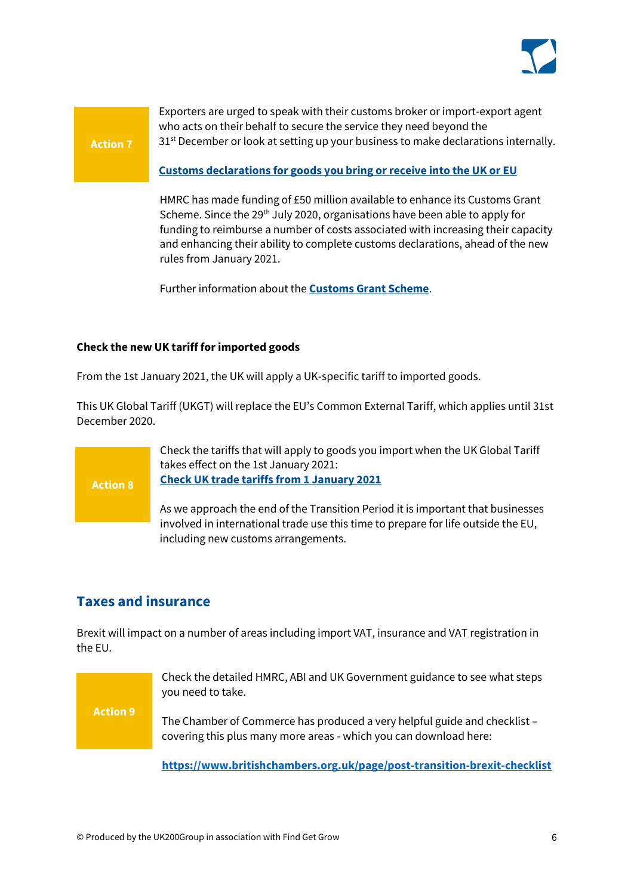

**Action 7**

Exporters are urged to speak with their customs broker or import-export agent who acts on their behalf to secure the service they need beyond the 31<sup>st</sup> December or look at setting up your business to make declarations internally.

#### **[Customs declarations for goods you bring or receive into the UK or EU](https://www.gov.uk/guidance/customs-declarations-for-goods-brought-into-the-eu)**

HMRC has made funding of £50 million available to enhance its Customs Grant Scheme. Since the 29<sup>th</sup> July 2020, organisations have been able to apply for funding to reimburse a number of costs associated with increasing their capacity and enhancing their ability to complete customs declarations, ahead of the new rules from January 2021.

Further information about the **[Customs Grant Scheme](https://www.customsintermediarygrant.co.uk/)**.

#### **Check the new UK tariff for imported goods**

From the 1st January 2021, the UK will apply a UK-specific tariff to imported goods. 

This UK Global Tariff (UKGT) will replace the EU's Common External Tariff, which applies until 31st December 2020.

> Check the tariffs that will apply to goods you import when the UK Global Tariff takes effect on the 1st January 2021: **[Check UK trade tariffs from 1 January 2021](https://www.gov.uk/check-tariffs-1-january-2021)**

As we approach the end of the Transition Period it is important that businesses involved in international trade use this time to prepare for life outside the EU, including new customs arrangements.

# <span id="page-5-0"></span>**Taxes and insurance**

Brexit will impact on a number of areas including import VAT, insurance and VAT registration in the EU.



**Action 8**

Check the detailed HMRC, ABI and UK Government guidance to see what steps you need to take.

The Chamber of Commerce has produced a very helpful guide and checklist – covering this plus many more areas - which you can download here:

**<https://www.britishchambers.org.uk/page/post-transition-brexit-checklist>**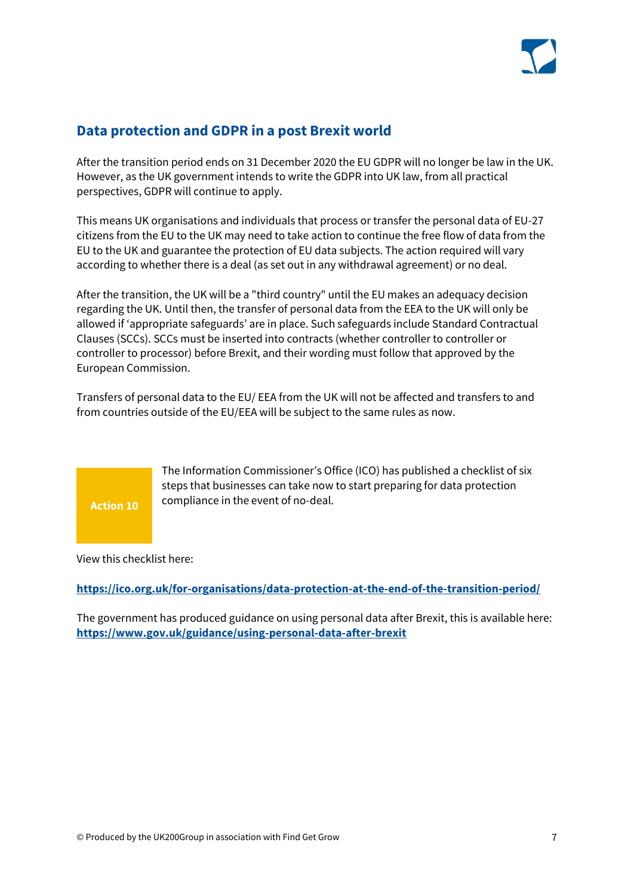

# <span id="page-6-0"></span>**Data protection and GDPR in a post Brexit world**

After the transition period ends on 31 December 2020 the EU GDPR will no longer be law in the UK. However, as the UK government intends to write the GDPR into UK law, from all practical perspectives, GDPR will continue to apply.

This means UK organisations and individuals that process or transfer the personal data of EU-27 citizens from the EU to the UK may need to take action to continue the free flow of data from the EU to the UK and guarantee the protection of EU data subjects. The action required will vary according to whether there is a deal (as set out in any withdrawal agreement) or no deal.

After the transition, the UK will be a "third country" until the EU makes an adequacy decision regarding the UK. Until then, the transfer of personal data from the EEA to the UK will only be allowed if 'appropriate safeguards' are in place. Such safeguards include Standard Contractual Clauses (SCCs). SCCs must be inserted into contracts (whether controller to controller or controller to processor) before Brexit, and their wording must follow that approved by the European Commission.

Transfers of personal data to the EU/ EEA from the UK will not be affected and transfers to and from countries outside of the EU/EEA will be subject to the same rules as now.



The Information Commissioner's Office (ICO) has published a checklist of six steps that businesses can take now to start preparing for data protection compliance in the event of no-deal.

View this checklist here:

**<https://ico.org.uk/for-organisations/data-protection-at-the-end-of-the-transition-period/>**

<span id="page-6-1"></span>The government has produced guidance on using personal data after Brexit, this is available here: **<https://www.gov.uk/guidance/using-personal-data-after-brexit>**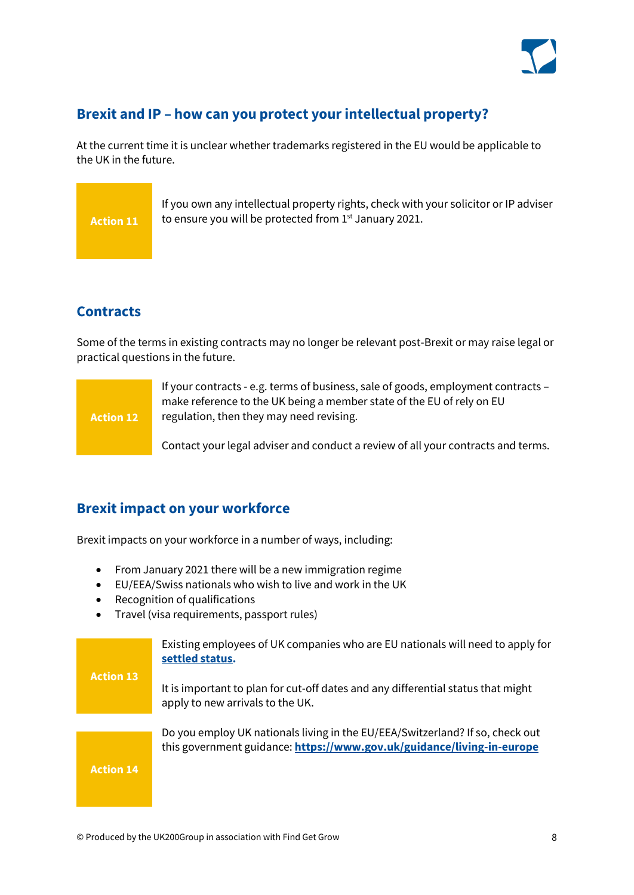

### **Brexit and IP – how can you protect your intellectual property?**

At the current time it is unclear whether trademarks registered in the EU would be applicable to the UK in the future.



If you own any intellectual property rights, check with your solicitor or IP adviser to ensure you will be protected from 1st January 2021.

# <span id="page-7-0"></span>**Contracts**

Some of the terms in existing contracts may no longer be relevant post-Brexit or may raise legal or practical questions in the future.



If your contracts - e.g. terms of business, sale of goods, employment contracts – make reference to the UK being a member state of the EU of rely on EU regulation, then they may need revising.

Contact your legal adviser and conduct a review of all your contracts and terms.

# <span id="page-7-1"></span>**Brexit impact on your workforce**

Brexit impacts on your workforce in a number of ways, including:

- From January 2021 there will be a new immigration regime
- EU/EEA/Swiss nationals who wish to live and work in the UK
- Recognition of qualifications
- Travel (visa requirements, passport rules)

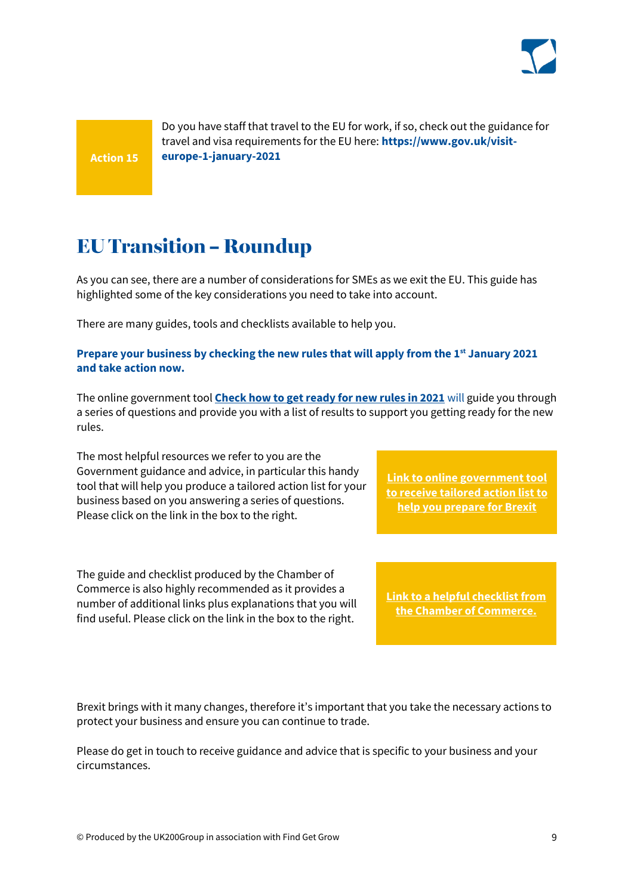

**Action 15**

Do you have staff that travel to the EU for work, if so, check out the guidance for travel and visa requirements for the EU here: **https://www.gov.uk/visiteurope-1-january-2021** 

# <span id="page-8-0"></span>**EUTransition - Roundup**

As you can see, there are a number of considerations for SMEs as we exit the EU. This guide has highlighted some of the key considerations you need to take into account.

There are many guides, tools and checklists available to help you.

#### **Prepare your business by checking the new rules that will apply from the 1st January 2021 and take action now.**

The online government tool **[Check how to get ready for new rules in 2021](https://www.gov.uk/transition-check)** will guide you through a series of questions and provide you with a list of results to support you getting ready for the new rules.

The most helpful resources we refer to you are the Government guidance and advice, in particular this handy tool that will help you produce a tailored action list for your business based on you answering a series of questions. Please click on the link in the box to the right.

The guide and checklist produced by the Chamber of Commerce is also highly recommended as it provides a number of additional links plus explanations that you will find useful. Please click on the link in the box to the right.

**[Link to online government](https://www.gov.uk/transition) tool [to receive tailored action list to](https://www.gov.uk/transition)  [help you prepare for Brexit](https://www.gov.uk/transition)**

**[Link to a helpful checklist from](https://www.britishchambers.org.uk/page/post-transition-brexit-checklist)  [the Chamber of Commerce.](https://www.gov.uk/transition)**

Brexit brings with it many changes, therefore it's important that you take the necessary actions to protect your business and ensure you can continue to trade.

Please do get in touch to receive guidance and advice that is specific to your business and your circumstances.